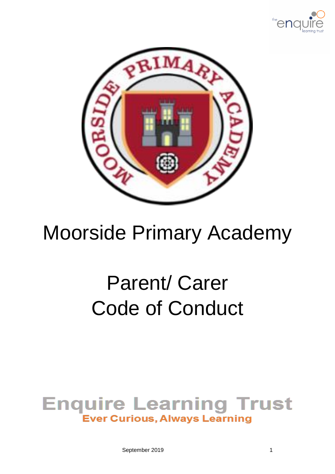



## Moorside Primary Academy

# Parent/ Carer Code of Conduct

### **Enquire Learning Trust Ever Curious, Always Learning**

September 2019 1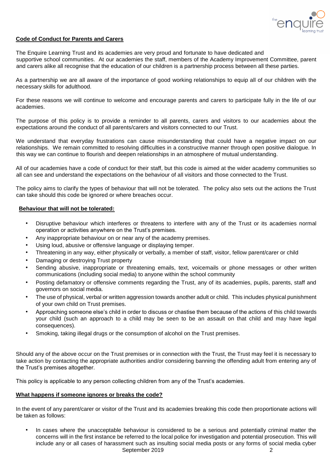

#### **Code of Conduct for Parents and Carers**

The Enquire Learning Trust and its academies are very proud and fortunate to have dedicated and supportive school communities. At our academies the staff, members of the Academy Improvement Committee, parent and carers alike all recognise that the education of our children is a partnership process between all these parties.

As a partnership we are all aware of the importance of good working relationships to equip all of our children with the necessary skills for adulthood.

For these reasons we will continue to welcome and encourage parents and carers to participate fully in the life of our academies.

The purpose of this policy is to provide a reminder to all parents, carers and visitors to our academies about the expectations around the conduct of all parents/carers and visitors connected to our Trust.

We understand that everyday frustrations can cause misunderstanding that could have a negative impact on our relationships. We remain committed to resolving difficulties in a constructive manner through open positive dialogue. In this way we can continue to flourish and deepen relationships in an atmosphere of mutual understanding.

All of our academies have a code of conduct for their staff, but this code is aimed at the wider academy communities so all can see and understand the expectations on the behaviour of all visitors and those connected to the Trust.

The policy aims to clarify the types of behaviour that will not be tolerated. The policy also sets out the actions the Trust can take should this code be ignored or where breaches occur.

#### **Behaviour that will not be tolerated:**

- Disruptive behaviour which interferes or threatens to interfere with any of the Trust or its academies normal operation or activities anywhere on the Trust's premises.
- Any inappropriate behaviour on or near any of the academy premises.
- Using loud, abusive or offensive language or displaying temper.
- Threatening in any way, either physically or verbally, a member of staff, visitor, fellow parent/carer or child
- Damaging or destroying Trust property
- Sending abusive, inappropriate or threatening emails, text, voicemails or phone messages or other written communications (including social media) to anyone within the school community
- Posting defamatory or offensive comments regarding the Trust, any of its academies, pupils, parents, staff and governors on social media.
- The use of physical, verbal or written aggression towards another adult or child. This includes physical punishment of your own child on Trust premises.
- Approaching someone else's child in order to discuss or chastise them because of the actions of this child towards your child (such an approach to a child may be seen to be an assault on that child and may have legal consequences).
- Smoking, taking illegal drugs or the consumption of alcohol on the Trust premises.

Should any of the above occur on the Trust premises or in connection with the Trust, the Trust may feel it is necessary to take action by contacting the appropriate authorities and/or considering banning the offending adult from entering any of the Trust's premises altogether.

This policy is applicable to any person collecting children from any of the Trust's academies.

#### **What happens if someone ignores or breaks the code?**

In the event of any parent/carer or visitor of the Trust and its academies breaking this code then proportionate actions will be taken as follows:

September 2019 **2** In cases where the unacceptable behaviour is considered to be a serious and potentially criminal matter the concerns will in the first instance be referred to the local police for investigation and potential prosecution. This will include any or all cases of harassment such as insulting social media posts or any forms of social media cyber